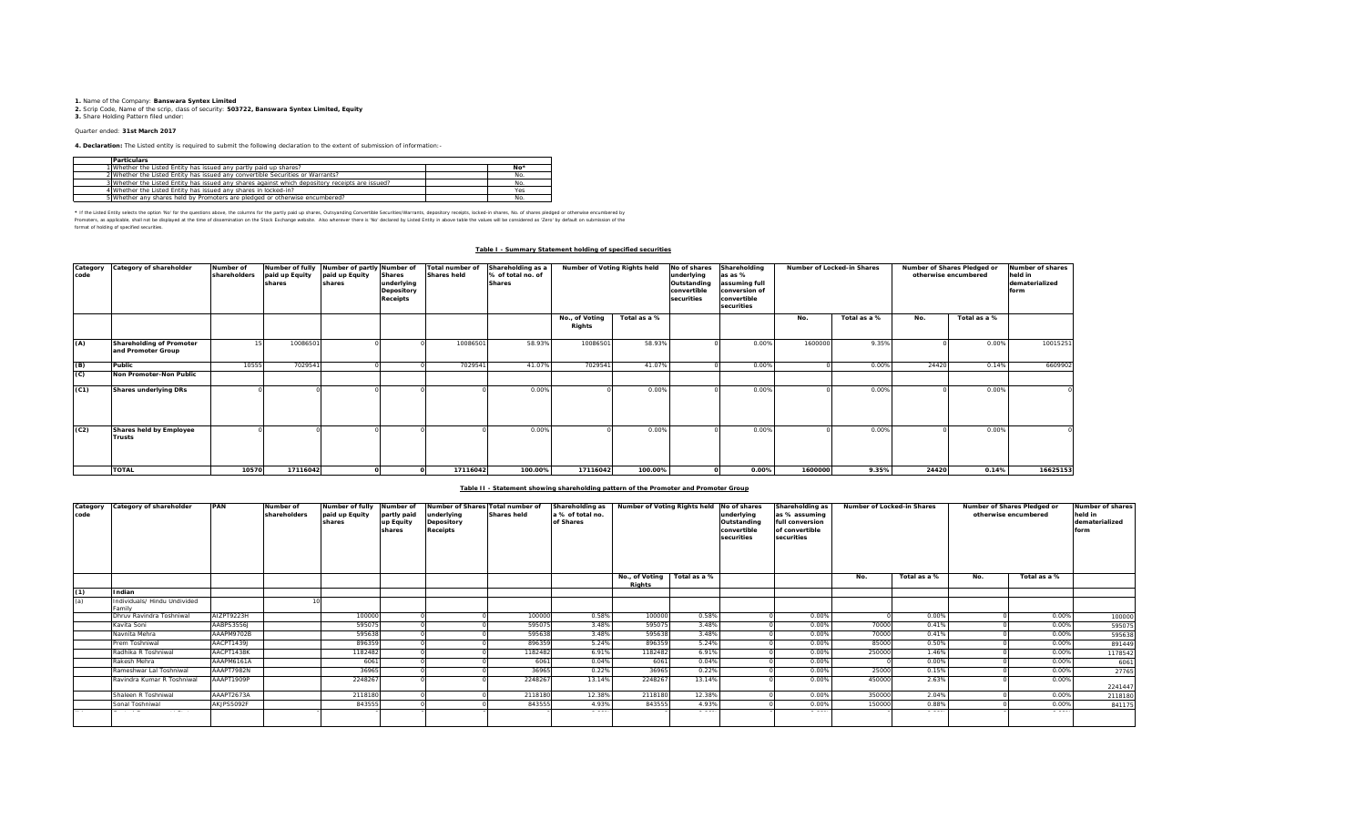**1.** Name of the Company: **Banswara Syntex Limited 2.** Scrip Code, Name of the scrip, class of security: **503722, Banswara Syntex Limited, Equity 3.** Share Holding Pattern filed under:

### Quarter ended: **31st March 2017**

**4. Declaration:** The Listed entity is required to submit the following declaration to the extent of submission of information:-

| <b>Particulars</b>                                                                              |     |
|-------------------------------------------------------------------------------------------------|-----|
| 1 Whether the Listed Entity has issued any partly paid up shares?                               | No* |
| 2 Whether the Listed Entity has issued any convertible Securities or Warrants?                  | No. |
| 3 Whether the Listed Entity has issued any shares against which depository receipts are issued? | No. |
| 4 Whether the Listed Entity has issued any shares in locked-in?                                 | Yes |
| 5 Whether any shares held by Promoters are pledged or otherwise encumbered?                     |     |

\* If ne Listed Ently selects ine opton War for the equasitons above, the outwars for the partly share, Quityandng Convertible Securities/Warrants, depository receipts, boked-in shares, No. of shares predget or otherwise in format of holding of specified securities.

#### **Table I - Summary Statement holding of specified securities**

| Category<br>code | Category of shareholder                        | Number of<br>shareholders | Number of fully<br>paid up Equity<br>shares | Number of partly Number of<br>paid up Equity<br>shares | <b>Shares</b><br>underlying<br>Depository<br>Receipts | Total number of<br><b>Shares held</b> | Shareholding as a<br>% of total no. of<br><b>Shares</b> | Number of Voting Rights held<br>Shareholding<br>No of shares<br>underlying<br>as as %<br>Outstanding<br>assuming full<br>convertible<br>conversion of<br>securities<br>convertible<br>securities |              | Number of Locked-in Shares |         | Number of Shares Pledged or<br>otherwise encumbered | Number of shares<br>held in<br>dematerialized<br>form |              |          |
|------------------|------------------------------------------------|---------------------------|---------------------------------------------|--------------------------------------------------------|-------------------------------------------------------|---------------------------------------|---------------------------------------------------------|--------------------------------------------------------------------------------------------------------------------------------------------------------------------------------------------------|--------------|----------------------------|---------|-----------------------------------------------------|-------------------------------------------------------|--------------|----------|
|                  |                                                |                           |                                             |                                                        |                                                       |                                       |                                                         | No., of Voting<br>Rights                                                                                                                                                                         | Total as a % |                            | No.     | Total as a %                                        | No.                                                   | Total as a % |          |
| (A)              | Shareholding of Promoter<br>and Promoter Group |                           | 1008650                                     |                                                        |                                                       | 10086501                              | 58.93%                                                  | 1008650                                                                                                                                                                                          | 58.93%       | 0.00%                      | 1600000 | 9.35%                                               |                                                       | 0.00%        | 10015251 |
| $\frac{B}{C}$    | Public                                         | 10555                     | 702954                                      |                                                        |                                                       | 7029541                               | 41.07%                                                  | 7029541                                                                                                                                                                                          | 41.07%       | 0.00%                      |         | 0.00%                                               | 24420                                                 | 0.14%        | 6609902  |
|                  | Non Promoter-Non Public                        |                           |                                             |                                                        |                                                       |                                       |                                                         |                                                                                                                                                                                                  |              |                            |         |                                                     |                                                       |              |          |
| (C1)             | <b>Shares underlying DRs</b>                   |                           |                                             |                                                        |                                                       |                                       | 0.00%                                                   |                                                                                                                                                                                                  | 0.00%        | 0.00%                      |         | 0.00%                                               |                                                       | 0.00%        |          |
| (C2)             | Shares held by Employee<br>Trusts              |                           |                                             |                                                        |                                                       |                                       | 0.00%                                                   |                                                                                                                                                                                                  | 0.00%        | 0.00%                      |         | 0.00%                                               |                                                       | 0.00%        |          |
|                  | <b>TOTAL</b>                                   | 10570                     | 17116042                                    |                                                        |                                                       | 17116042                              | 100.00%                                                 | 17116042                                                                                                                                                                                         | 100.00%      | 0.00%                      | 1600000 | 9.35%                                               | 24420                                                 | 0.14%        | 16625153 |

#### **Table II - Statement showing shareholding pattern of the Promoter and Promoter Group**

| Category<br>code | Category of shareholder                | PAN        | Number of<br>shareholders | Number of fully<br>paid up Equity<br>shares | Number of<br>partly paid<br>up Equity<br>shares | Number of Shares Total number of<br>underlying<br>Depository<br>Receipts | <b>Shares held</b> | Shareholding as<br>a % of total no.<br>of Shares | Number of Voting Rights held |              | No of shares<br>underlying<br>Outstanding<br>convertible<br>securities | Shareholding as<br>as % assuming<br>full conversion<br>of convertible<br>securities | Number of Locked-in Shares |              | Number of Shares Pledged or<br>otherwise encumbered |              | Number of shares<br>held in<br>dematerialized<br>form |
|------------------|----------------------------------------|------------|---------------------------|---------------------------------------------|-------------------------------------------------|--------------------------------------------------------------------------|--------------------|--------------------------------------------------|------------------------------|--------------|------------------------------------------------------------------------|-------------------------------------------------------------------------------------|----------------------------|--------------|-----------------------------------------------------|--------------|-------------------------------------------------------|
|                  |                                        |            |                           |                                             |                                                 |                                                                          |                    |                                                  | No., of Voting<br>Rights     | Total as a % |                                                                        |                                                                                     | No.                        | Total as a % | No.                                                 | Total as a % |                                                       |
| (1)              | Indian                                 |            |                           |                                             |                                                 |                                                                          |                    |                                                  |                              |              |                                                                        |                                                                                     |                            |              |                                                     |              |                                                       |
| (a)              | Individuals/ Hindu Undivided<br>Family |            |                           |                                             |                                                 |                                                                          |                    |                                                  |                              |              |                                                                        |                                                                                     |                            |              |                                                     |              |                                                       |
|                  | Dhruv Ravindra Toshniwal               | AIZPT9223H |                           | 100000                                      |                                                 |                                                                          | 100000             | 0.58%                                            | 100000                       | 0.58%        |                                                                        | 0.00%                                                                               |                            | 0.00%        |                                                     | 0.00%        | 100000                                                |
|                  | Kavita Soni                            | AABPS3556J |                           | 595075                                      |                                                 |                                                                          | 595075             | 3.48%                                            | 595075                       | 3.48%        |                                                                        | 0.00%                                                                               | 70000                      | 0.41%        |                                                     | 0.00%        | 595075                                                |
|                  | Navnita Mehra                          | AAAPM9702B |                           | 595638                                      |                                                 |                                                                          | 59563              | 3.48%                                            | 595638                       | 3.48%        |                                                                        | 0.00%                                                                               | 70000                      | 0.41%        |                                                     | 0.00%        | 595638                                                |
|                  | Prem Toshniwal                         | AACPT1439J |                           | 896359                                      |                                                 |                                                                          | 896359             | 5.24%                                            | 896359                       | 5.24%        |                                                                        | 0.00%                                                                               | 85000                      | 0.50%        |                                                     | 0.00%        | 891449                                                |
|                  | Radhika R Toshniwal                    | AACPT1438K |                           | 1182482                                     |                                                 |                                                                          | 1182482            | 6.91%                                            | 1182482                      | 6.91%        |                                                                        | 0.00%                                                                               | 250000                     | 1.46%        |                                                     | 0.00%        | 1178542                                               |
|                  | Rakesh Mehra                           | AAAPM6161A |                           | 6061                                        |                                                 |                                                                          | 6061               | 0.04%                                            | 6061                         | 0.04%        |                                                                        | 0.00%                                                                               |                            | 0.00%        |                                                     | 0.00%        | 6061                                                  |
|                  | Rameshwar Lal Toshniwal                | AAAPT7982N |                           | 36965                                       |                                                 |                                                                          | 36965              | 0.22%                                            | 36965                        | 0.22%        |                                                                        | 0.00%                                                                               | 25000                      | 0.15%        |                                                     | 0.00%        | 27765                                                 |
|                  | Ravindra Kumar R Toshniwal             | AAAPT1909P |                           | 2248267                                     |                                                 |                                                                          | 2248267            | 13.14%                                           | 2248267                      | 13.14%       |                                                                        | 0.00%                                                                               | 450000                     | 2.63%        |                                                     | 0.00%        | 2241447                                               |
|                  | Shaleen R Toshniwal                    | AAAPT2673A |                           | 2118180                                     |                                                 |                                                                          | 2118180            | 12.38%                                           | 2118180                      | 12.38%       |                                                                        | 0.00%                                                                               | 350000                     | 2.04%        |                                                     | 0.00%        | 2118180                                               |
|                  | Sonal Toshniwal                        | AKJPS5092F |                           | 843555                                      |                                                 |                                                                          | 843555             | 4.93%                                            | 843555                       | 4.93%        |                                                                        | 0.00%                                                                               | 150000                     | 0.88%        |                                                     | 0.00%        | 841175                                                |
|                  |                                        |            |                           |                                             |                                                 |                                                                          |                    |                                                  |                              |              |                                                                        |                                                                                     |                            |              |                                                     |              |                                                       |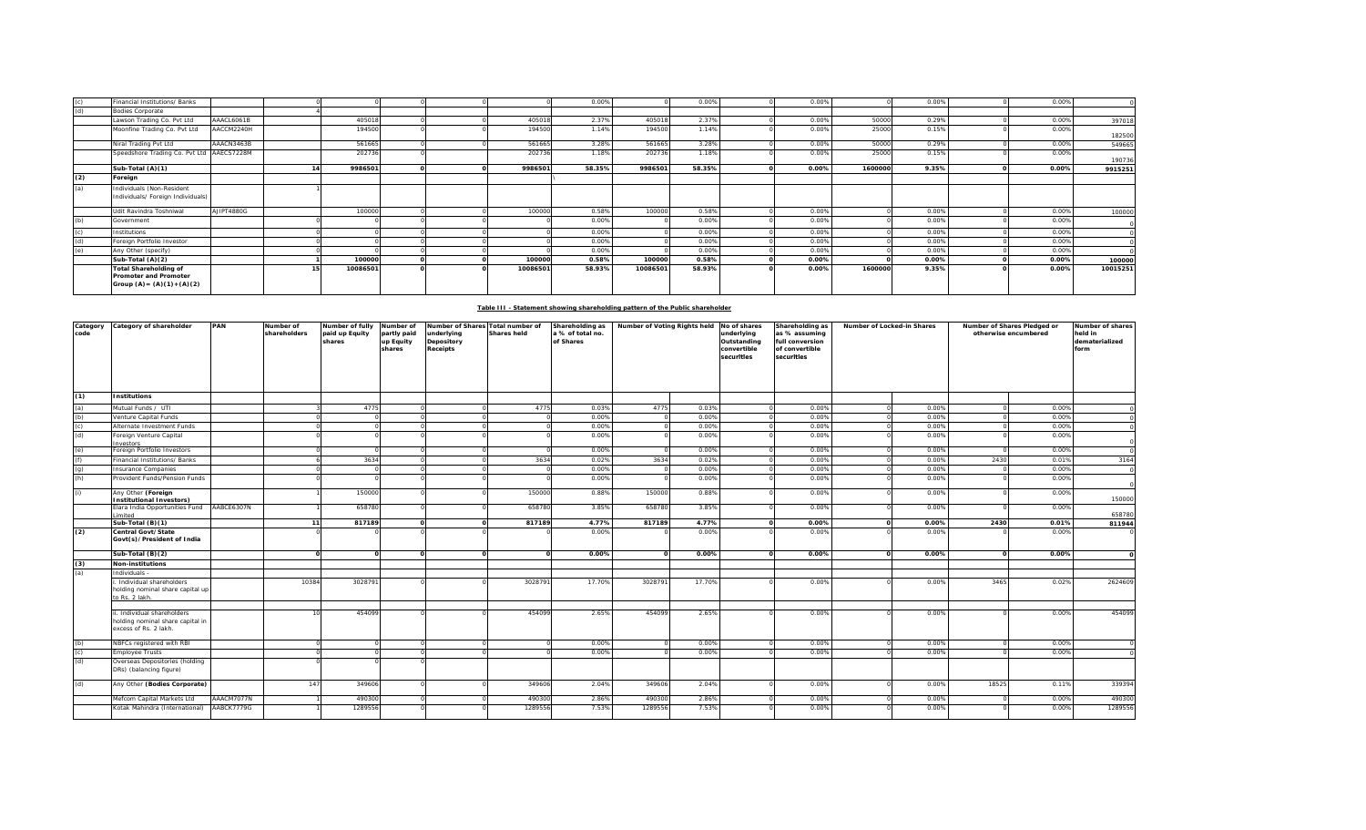| (c) | Financial Institutions/ Banks                                                          |            |    |          |  |          | 0.00%  |          | 0.00%  | 0.00% |         | 0.009 | 0.00% |          |
|-----|----------------------------------------------------------------------------------------|------------|----|----------|--|----------|--------|----------|--------|-------|---------|-------|-------|----------|
| (f) | <b>Bodies Corporate</b>                                                                |            |    |          |  |          |        |          |        |       |         |       |       |          |
|     | Lawson Trading Co. Pvt Ltd                                                             | AAACL6061B |    | 405018   |  | 405018   | 2.379  | 405018   | 2.379  | 0.00% | 50000   | 0.29% | 0.00% | 397018   |
|     | Moonfine Trading Co. Pvt Ltd                                                           | AACCM2240H |    | 194500   |  | 194500   | 1.14%  | 194500   | 1.14%  | 0.00% | 25000   | 0.15% | 0.00% | 182500   |
|     | Niral Trading Pvt Ltd                                                                  | AAACN3463B |    | 561665   |  | 561665   | 3.28%  | 561665   | 3.28%  | 0.00% | 50000   | 0.29% | 0.00% | 549665   |
|     | Speedshore Trading Co. Pvt Ltd AAECS7228M                                              |            |    | 202736   |  | 202736   | 1.18%  | 202736   | 1.18%  | 0.00% | 25000   | 0.15% | 0.00% | 190736   |
|     | Sub-Total (A)(1)                                                                       |            | 14 | 9986501  |  | 9986501  | 58.35% | 9986501  | 58.35% | 0.00% | 1600000 | 9.35% | 0.00% | 9915251  |
| (2) | Foreign                                                                                |            |    |          |  |          |        |          |        |       |         |       |       |          |
| (a) | Individuals (Non-Resident<br>Individuals/ Foreign Individuals)                         |            |    |          |  |          |        |          |        |       |         |       |       |          |
|     | Udit Ravindra Toshniwal                                                                | AJIPT4880G |    | 100000   |  | 100000   | 0.58%  | 100000   | 0.589  | 0.00% |         | 0.009 | 0.00% | 100000   |
| (b) | Government                                                                             |            |    |          |  |          | 0.00%  |          | 0.00%  | 0.00% |         | 0.00% | 0.00% |          |
|     | Institutions                                                                           |            |    |          |  |          | 0.00%  |          | 0.00%  | 0.00% |         | 0.00% | 0.00% |          |
|     | Foreign Portfolio Investor                                                             |            |    |          |  |          | 0.00%  |          | 0.009  | 0.00% |         | 0.00% | 0.00% |          |
|     | Any Other (specify)                                                                    |            |    |          |  |          | 0.00%  |          | 0.009  | 0.00% |         | 0.00% | 0.00% |          |
|     | Sub-Total (A)(2)                                                                       |            |    | 100000   |  | 100000   | 0.58%  | 100000   | 0.58%  | 0.00% |         | 0.00% | 0.00% | 100000   |
|     | <b>Total Shareholding of</b><br>Promoter and Promoter<br>Group $(A) = (A)(1) + (A)(2)$ |            |    | 10086501 |  | 10086501 | 58.93% | 10086501 | 58.93% | 0.00% | 1600000 | 9.35% | 0.00% | 10015251 |

# **Table III - Statement showing shareholding pattern of the Public shareholder**

| Category<br>code | Category of shareholder                                                                | PAN        | Number of<br>shareholders | Number of fully<br>paid up Equity<br>shares | Number of<br>partly paid<br>up Equity<br>shares | Number of Shares Total number of<br>underlying<br>Depository<br>Receipts | <b>Shares held</b> | Shareholding as<br>a % of total no.<br>of Shares | Number of Voting Rights held |        | No of shares<br>underlying<br>Outstanding<br>convertible<br>securities | Shareholding as<br>as % assuming<br>full conversion<br>of convertible<br>securities | Number of Locked-in Shares |       | Number of Shares Pledged or<br>otherwise encumbered |         |
|------------------|----------------------------------------------------------------------------------------|------------|---------------------------|---------------------------------------------|-------------------------------------------------|--------------------------------------------------------------------------|--------------------|--------------------------------------------------|------------------------------|--------|------------------------------------------------------------------------|-------------------------------------------------------------------------------------|----------------------------|-------|-----------------------------------------------------|---------|
| (1)              | <b>Institutions</b>                                                                    |            |                           |                                             |                                                 |                                                                          |                    |                                                  |                              |        |                                                                        |                                                                                     |                            |       |                                                     |         |
| (a)              | Mutual Funds / UTI                                                                     |            |                           | 4775                                        |                                                 |                                                                          | 4775               | 0.039                                            | 4775                         | 0.03%  |                                                                        | 0.00%                                                                               | 0.00%                      |       | 0.009                                               |         |
| $\frac{1}{2}$    | Venture Capital Funds                                                                  |            |                           |                                             |                                                 |                                                                          |                    | 0.00%                                            |                              | 0.00%  |                                                                        | 0.00%                                                                               | 0.00%                      |       | 0.00%                                               |         |
|                  | Alternate Investment Funds                                                             |            |                           |                                             |                                                 |                                                                          |                    | 0.00%                                            |                              | 0.00%  |                                                                        | 0.00%                                                                               | 0.009                      |       | 0.00%                                               |         |
| (d)              | Foreign Venture Capital<br>Investors                                                   |            |                           |                                             |                                                 |                                                                          |                    | 0.00%                                            |                              | 0.00%  |                                                                        | 0.00%                                                                               | 0.00%                      |       | 0.00%                                               |         |
| (e)              | Foreign Portfolio Investors                                                            |            |                           |                                             |                                                 |                                                                          |                    | 0.00%                                            |                              | 0.00%  |                                                                        | 0.00%                                                                               | 0.00%                      |       | 0.009                                               |         |
| (f)              | Financial Institutions/ Banks                                                          |            |                           | 3634                                        |                                                 |                                                                          | 3634               | 0.02%                                            | 3634                         | 0.02%  |                                                                        | 0.00%                                                                               | 0.00%                      | 2430  | 0.01%                                               | 3164    |
| $\frac{1}{2}$    | nsurance Companies                                                                     |            |                           |                                             |                                                 |                                                                          |                    | 0.00%                                            |                              | 0.00%  |                                                                        | 0.00%                                                                               | 0.00%                      |       | 0.00%                                               |         |
|                  | Provident Funds/Pension Funds                                                          |            |                           |                                             |                                                 |                                                                          |                    | 0.00%                                            |                              | 0.00%  |                                                                        | 0.00%                                                                               | 0.00%                      |       | 0.00%                                               |         |
| (i)              | Any Other (Foreign<br>Institutional Investors)                                         |            |                           | 150000                                      |                                                 |                                                                          | 150000             | 0.88%                                            | 150000                       | 0.88%  |                                                                        | 0.00%                                                                               | 0.00%                      |       | 0.00%                                               | 150000  |
|                  | Elara India Opportunities Fund<br>.imited                                              | AABCE6307N |                           | 658780                                      | $\Omega$                                        |                                                                          | 658780             | 3.85%                                            | 658780                       | 3.85%  |                                                                        | 0.00%                                                                               | 0.00%                      |       | 0.00%                                               | 658780  |
|                  | Sub-Total (B)(1)                                                                       |            | 11                        | 817189                                      | $\Omega$                                        |                                                                          | 817189             | 4.77%                                            | 817189                       | 4.77%  |                                                                        | 0.00%                                                                               | 0.00%                      | 2430  | 0.01%                                               | 811944  |
| (2)              | Central Govt/State<br>Govt(s)/President of India                                       |            |                           |                                             |                                                 |                                                                          |                    | 0.00%                                            |                              | 0.00%  |                                                                        | 0.00%                                                                               | 0.00%                      |       | 0.00%                                               |         |
|                  | Sub-Total (B)(2)                                                                       |            |                           | $\Omega$                                    | $\Omega$                                        |                                                                          |                    | 0.00%                                            |                              | 0.00%  |                                                                        | 0.00%                                                                               | 0.00%                      |       | 0.00%                                               |         |
| (3)              | Non-institutions                                                                       |            |                           |                                             |                                                 |                                                                          |                    |                                                  |                              |        |                                                                        |                                                                                     |                            |       |                                                     |         |
| (a)              | Individuals                                                                            |            |                           |                                             |                                                 |                                                                          |                    |                                                  |                              |        |                                                                        |                                                                                     |                            |       |                                                     |         |
|                  | Individual shareholders<br>holding nominal share capital up<br>to Rs. 2 lakh.          |            | 10384                     | 3028791                                     |                                                 |                                                                          | 3028791            | 17.70%                                           | 3028791                      | 17.70% |                                                                        | 0.00%                                                                               | 0.00%                      | 3465  | 0.02%                                               | 2624609 |
|                  | . Individual shareholders<br>holding nominal share capital in<br>excess of Rs. 2 lakh. |            |                           | 454099                                      |                                                 |                                                                          | 454099             | 2.65%                                            | 454099                       | 2.65%  |                                                                        | 0.00%                                                                               | 0.00%                      |       | 0.00%                                               | 454099  |
| (b)              | NBFCs registered with RBI                                                              |            |                           |                                             |                                                 |                                                                          |                    | 0.00%                                            |                              | 0.00%  |                                                                        | 0.00%                                                                               | 0.00%                      |       | 0.00%                                               |         |
| $\frac{c}{d}$    | Employee Trusts                                                                        |            |                           |                                             |                                                 |                                                                          |                    | 0.00%                                            |                              | 0.009  |                                                                        | 0.00%                                                                               | 0.00%                      |       | 0.009                                               |         |
|                  | Overseas Depositories (holding<br>DRs) (balancing figure)                              |            |                           |                                             |                                                 |                                                                          |                    |                                                  |                              |        |                                                                        |                                                                                     |                            |       |                                                     |         |
| $\overline{a}$   | Any Other (Bodies Corporate)                                                           |            | 147                       | 349606                                      |                                                 |                                                                          | 349606             | 2.04%                                            | 349606                       | 2.04%  |                                                                        | 0.00%                                                                               | 0.00%                      | 18525 | 0.11%                                               | 339394  |
|                  | Mefcom Capital Markets Ltd                                                             | AAACM7077N |                           | 490300                                      |                                                 |                                                                          | 490300             | 2.86%                                            | 490300                       | 2.86%  |                                                                        | 0.00%                                                                               | 0.00%                      |       | 0.009                                               | 490300  |
|                  | Kotak Mahindra (International)                                                         | AABCK7779G |                           | 1289556                                     |                                                 |                                                                          | 1289556            | 7.53%                                            | 1289556                      | 7.53%  |                                                                        | 0.00%                                                                               | 0.00%                      |       | 0.00%                                               | 1289556 |